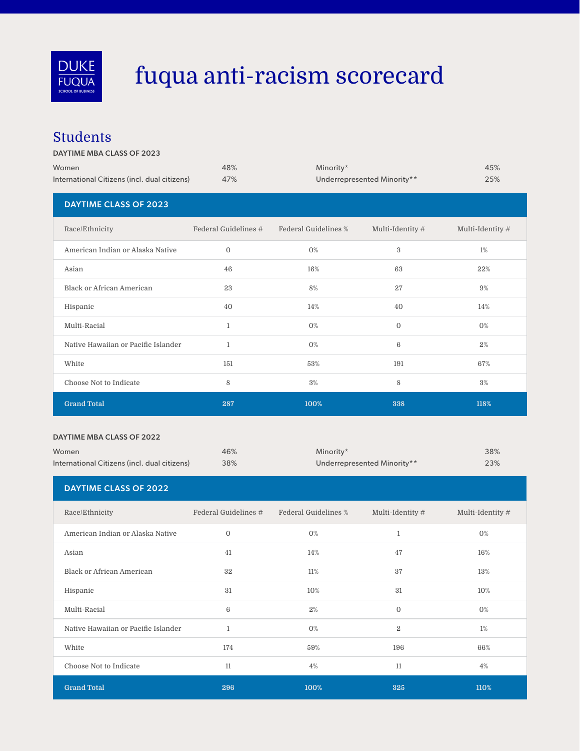

# fuqua anti-racism scorecard

#### Students

#### DAYTIME MBA CLASS OF 2023

| Women                                        | 48%                  | Minority*            | 45%                         |                  |
|----------------------------------------------|----------------------|----------------------|-----------------------------|------------------|
| International Citizens (incl. dual citizens) | 47%                  |                      | Underrepresented Minority** | 25%              |
| <b>DAYTIME CLASS OF 2023</b>                 |                      |                      |                             |                  |
| Race/Ethnicity                               | Federal Guidelines # | Federal Guidelines % | Multi-Identity #            | Multi-Identity # |
| American Indian or Alaska Native             | $\mathbf{0}$         | $0\%$                | $\,3$                       | 1%               |
| Asian                                        | 46                   | 16%                  | 63                          | 22%              |
| <b>Black or African American</b>             | 23                   | $8\%$                | 27                          | 9%               |
| Hispanic                                     | 40                   | 14%                  | 40                          | 14%              |
| Multi-Racial                                 | $\mathbf{1}$         | $0\%$                | $\mathbf{0}$                | $0\%$            |
| Native Hawaiian or Pacific Islander          | $\mathbf{1}$         | $0\%$                | $6\phantom{1}6$             | 2%               |
| White                                        | 151                  | 53%                  | 191                         | 67%              |
| Choose Not to Indicate                       | 8                    | 3%                   | 8                           | 3%               |
| <b>Grand Total</b>                           | 287                  | 100%                 | 338                         | 118%             |

#### DAYTIME MBA CLASS OF 2022

| Women<br>International Citizens (incl. dual citizens) | 46%<br>38%           | Minority*<br>Underrepresented Minority** |                  | 38%<br>23%       |
|-------------------------------------------------------|----------------------|------------------------------------------|------------------|------------------|
| <b>DAYTIME CLASS OF 2022</b>                          |                      |                                          |                  |                  |
| Race/Ethnicity                                        | Federal Guidelines # | Federal Guidelines %                     | Multi-Identity # | Multi-Identity # |
| American Indian or Alaska Native                      | $\mathbf{O}$         | $0\%$                                    | $\mathbf{1}$     | 0%               |
| Asian                                                 | 41                   | 14%                                      | 47               | 16%              |
| Black or African American                             | 32                   | 11%                                      | 37               | 13%              |
| Hispanic                                              | 31                   | 10%                                      | 31               | 10%              |
| Multi-Racial                                          | 6                    | 2%                                       | $\mathbf{0}$     | $0\%$            |
| Native Hawaiian or Pacific Islander                   | $\mathbf{1}$         | $0\%$                                    | $\overline{2}$   | 1%               |
| White                                                 | 174                  | 59%                                      | 196              | 66%              |
| Choose Not to Indicate                                | 11                   | 4%                                       | 11               | 4%               |
| <b>Grand Total</b>                                    | 296                  | 100%                                     | 325              | 110%             |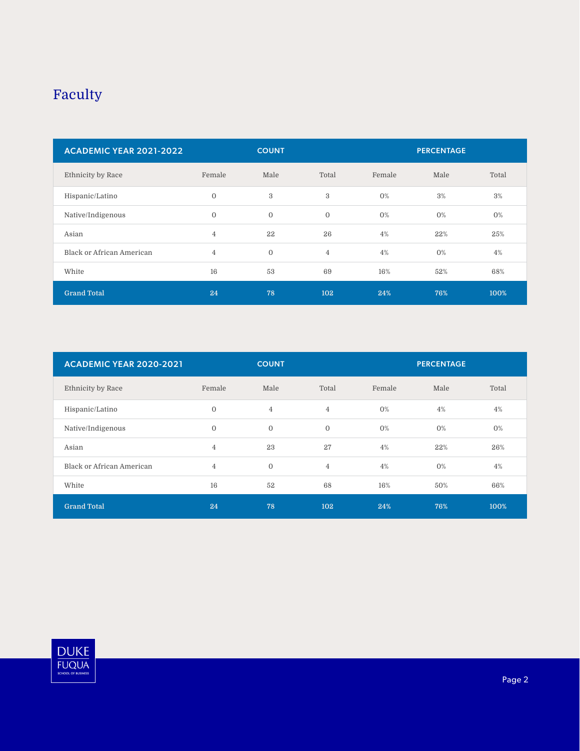### Faculty

| <b>ACADEMIC YEAR 2021-2022</b> | <b>PERCENTAGE</b><br><b>COUNT</b> |              |                |        |       |       |
|--------------------------------|-----------------------------------|--------------|----------------|--------|-------|-------|
| Ethnicity by Race              | Female                            | Male         | Total          | Female | Male  | Total |
| Hispanic/Latino                | $\overline{0}$                    | 3            | 3              | 0%     | 3%    | 3%    |
| Native/Indigenous              | $\mathbf{0}$                      | $\mathbf{0}$ | $\mathbf{O}$   | 0%     | $0\%$ | $0\%$ |
| Asian                          | $\overline{4}$                    | 22           | 26             | 4%     | 22%   | 25%   |
| Black or African American      | $\overline{4}$                    | $\mathbf{0}$ | $\overline{4}$ | 4%     | $0\%$ | 4%    |
| White                          | 16                                | 53           | 69             | 16%    | 52%   | 68%   |
| <b>Grand Total</b>             | 24                                | 78           | 102            | 24%    | 76%   | 100%  |

| <b>ACADEMIC YEAR 2020-2021</b> | <b>COUNT</b><br><b>PERCENTAGE</b> |                |                |        |       |       |
|--------------------------------|-----------------------------------|----------------|----------------|--------|-------|-------|
| Ethnicity by Race              | Female                            | Male           | Total          | Female | Male  | Total |
| Hispanic/Latino                | $\mathbf{0}$                      | $\overline{4}$ | $\overline{4}$ | 0%     | 4%    | 4%    |
| Native/Indigenous              | $\overline{0}$                    | $\mathbf{0}$   | $\overline{0}$ | 0%     | $0\%$ | $0\%$ |
| Asian                          | 4                                 | 23             | 27             | 4%     | 22%   | 26%   |
| Black or African American      | $\overline{4}$                    | $\mathbf 0$    | $\overline{4}$ | 4%     | $0\%$ | 4%    |
| White                          | 16                                | 52             | 68             | 16%    | 50%   | 66%   |
| <b>Grand Total</b>             | 24                                | 78             | 102            | 24%    | 76%   | 100%  |

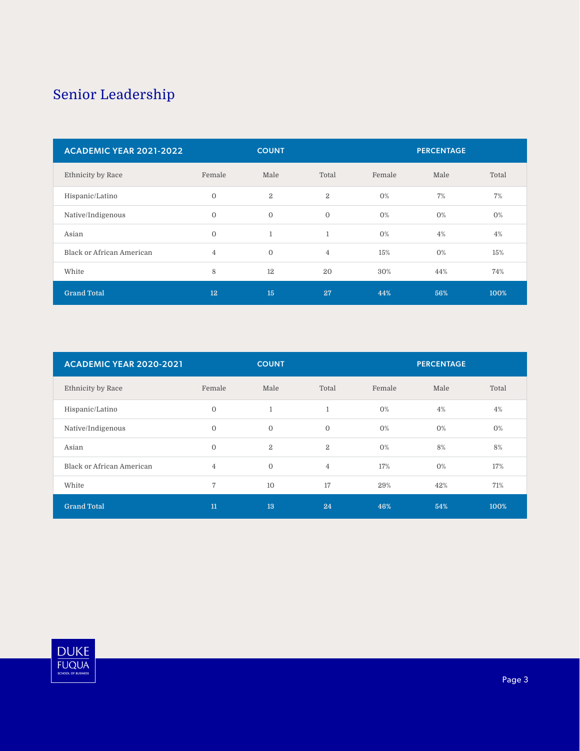### Senior Leadership

| <b>ACADEMIC YEAR 2021-2022</b> | <b>PERCENTAGE</b><br><b>COUNT</b> |              |                |        |       |       |
|--------------------------------|-----------------------------------|--------------|----------------|--------|-------|-------|
| Ethnicity by Race              | Female                            | Male         | Total          | Female | Male  | Total |
| Hispanic/Latino                | $\mathbf{0}$                      | $\mathbf{2}$ | $\overline{2}$ | O%     | 7%    | 7%    |
| Native/Indigenous              | $\Omega$                          | $\mathbf{0}$ | $\Omega$       | 0%     | $0\%$ | $0\%$ |
| Asian                          | $\overline{0}$                    | $\mathbf{1}$ | 1              | $0\%$  | 4%    | 4%    |
| Black or African American      | $\overline{4}$                    | $\mathbf{0}$ | $\overline{4}$ | 15%    | $0\%$ | 15%   |
| White                          | 8                                 | 12           | 20             | 30%    | 44%   | 74%   |
| <b>Grand Total</b>             | 12                                | 15           | 27             | 44%    | 56%   | 100%  |

| <b>ACADEMIC YEAR 2020-2021</b> | <b>COUNT</b><br><b>PERCENTAGE</b> |                |                |        |       |       |
|--------------------------------|-----------------------------------|----------------|----------------|--------|-------|-------|
| Ethnicity by Race              | Female                            | Male           | Total          | Female | Male  | Total |
| Hispanic/Latino                | $\mathbf{0}$                      | $\mathbf{1}$   | 1              | 0%     | 4%    | 4%    |
| Native/Indigenous              | $\overline{0}$                    | $\mathbf 0$    | $\overline{0}$ | 0%     | $0\%$ | $0\%$ |
| Asian                          | $\mathbf{0}$                      | $\overline{2}$ | 2              | 0%     | 8%    | 8%    |
| Black or African American      | $\overline{4}$                    | $\mathbf{0}$   | $\overline{4}$ | 17%    | $0\%$ | 17%   |
| White                          | $\overline{7}$                    | 10             | 17             | 29%    | 42%   | 71%   |
| <b>Grand Total</b>             | 11                                | 13             | 24             | 46%    | 54%   | 100%  |

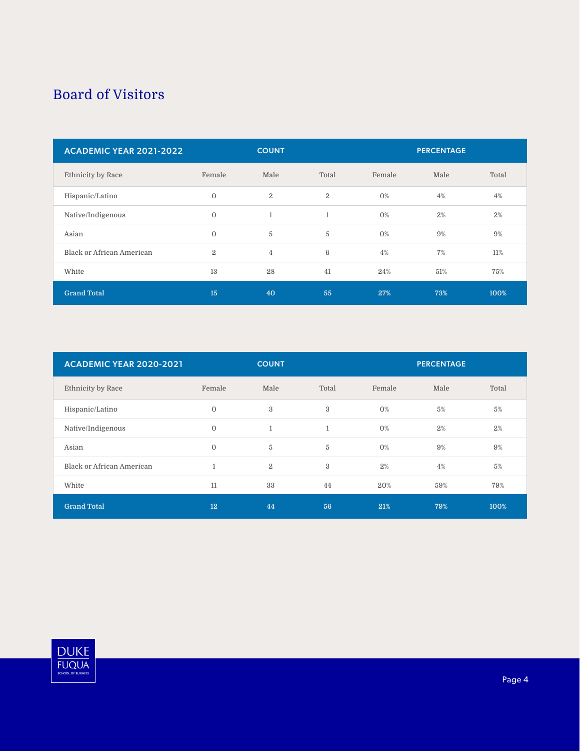#### Board of Visitors

| <b>ACADEMIC YEAR 2021-2022</b> | <b>PERCENTAGE</b><br><b>COUNT</b> |                |                 |        |      |       |
|--------------------------------|-----------------------------------|----------------|-----------------|--------|------|-------|
| Ethnicity by Race              | Female                            | Male           | Total           | Female | Male | Total |
| Hispanic/Latino                | $\mathbf{0}$                      | $\mathbf{2}$   | $\overline{2}$  | $0\%$  | 4%   | 4%    |
| Native/Indigenous              | $\Omega$                          | $\mathbf{1}$   | $\mathbf{1}$    | 0%     | 2%   | 2%    |
| Asian                          | $\overline{0}$                    | 5              | 5               | $0\%$  | 9%   | 9%    |
| Black or African American      | $\overline{2}$                    | $\overline{4}$ | $6\phantom{1}6$ | 4%     | 7%   | 11%   |
| White                          | 13                                | 28             | 41              | 24%    | 51%  | 75%   |
| <b>Grand Total</b>             | 15                                | 40             | 55              | 27%    | 73%  | 100%  |

| <b>ACADEMIC YEAR 2020-2021</b> | <b>COUNT</b><br><b>PERCENTAGE</b> |                |       |        |      |       |
|--------------------------------|-----------------------------------|----------------|-------|--------|------|-------|
| Ethnicity by Race              | Female                            | Male           | Total | Female | Male | Total |
| Hispanic/Latino                | $\overline{0}$                    | $\,3$          | 3     | 0%     | 5%   | 5%    |
| Native/Indigenous              | $\overline{0}$                    | $\mathbf{1}$   | 1     | 0%     | 2%   | 2%    |
| Asian                          | $\mathbf{0}$                      | 5              | 5     | 0%     | 9%   | 9%    |
| Black or African American      | $\mathbf{1}$                      | $\overline{2}$ | 3     | 2%     | 4%   | 5%    |
| White                          | 11                                | 33             | 44    | 20%    | 59%  | 79%   |
| <b>Grand Total</b>             | 12                                | 44             | 56    | 21%    | 79%  | 100%  |